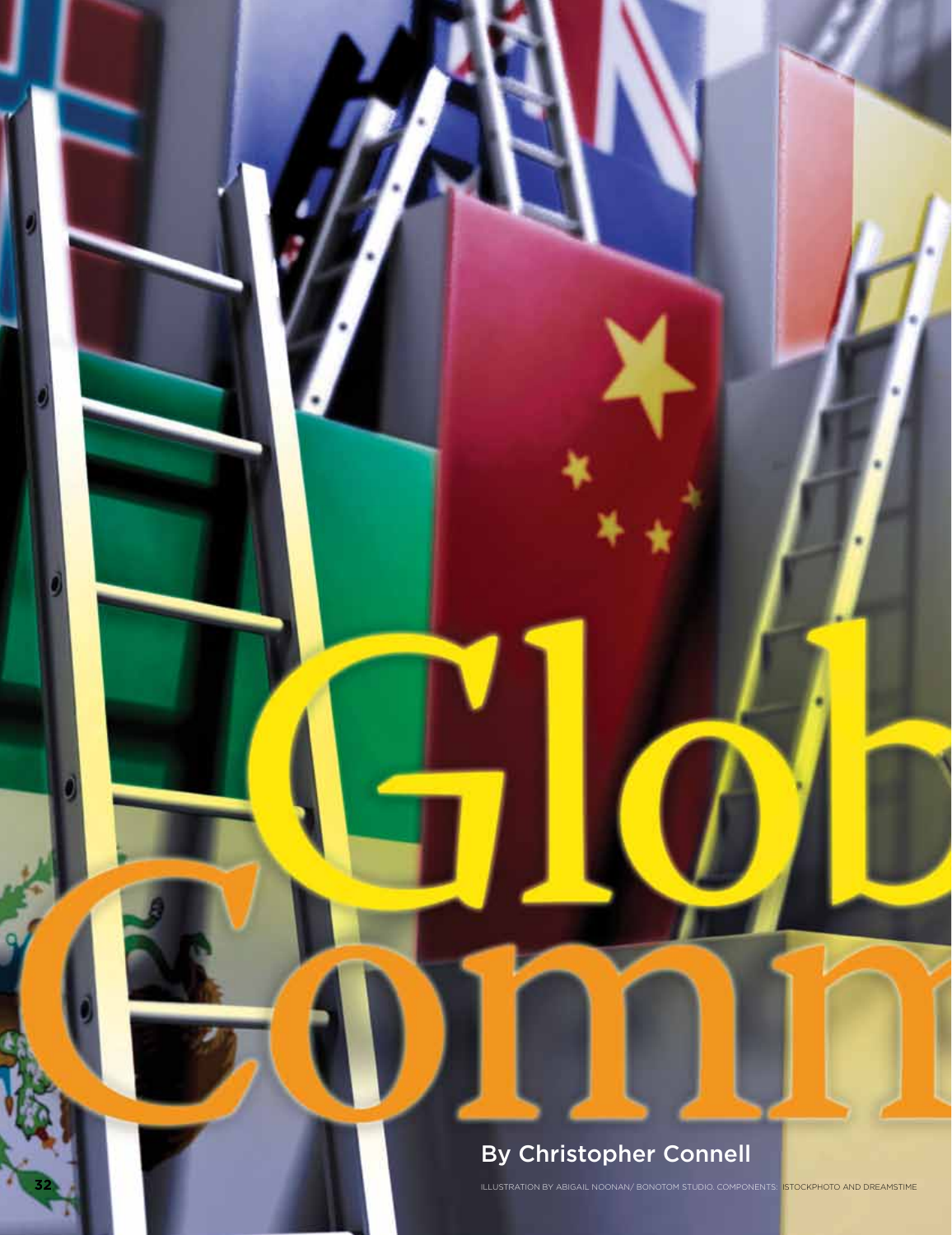# By Christopher Connell

**32** 

ILLUSTRATION BY ABIGAIL NOONAN/ BONOTOM STUDIO. COMPONENTS: ISTOCKPHOTO AND DREA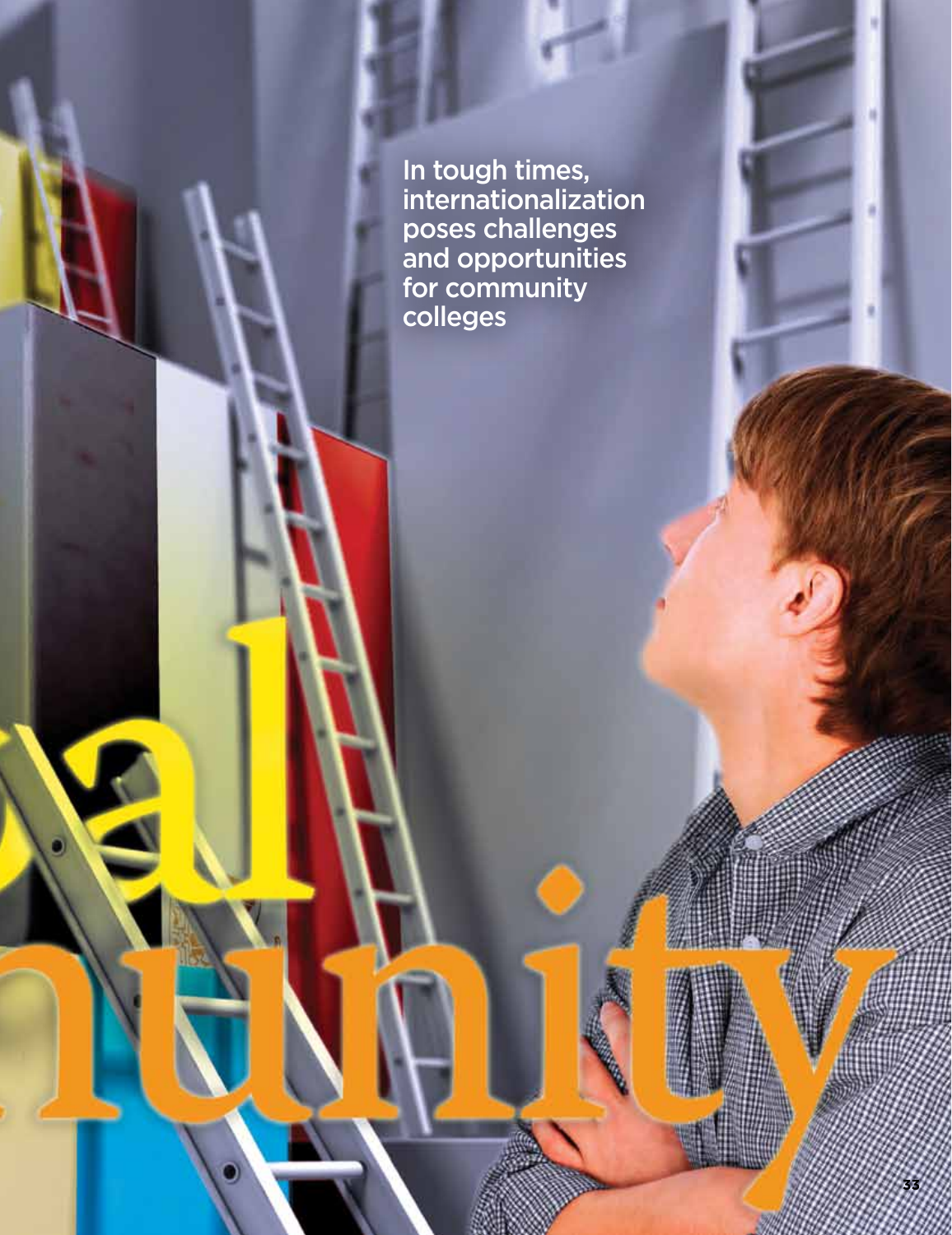In tough times, internationalization poses challenges and opportunities for community colleges

E

**33**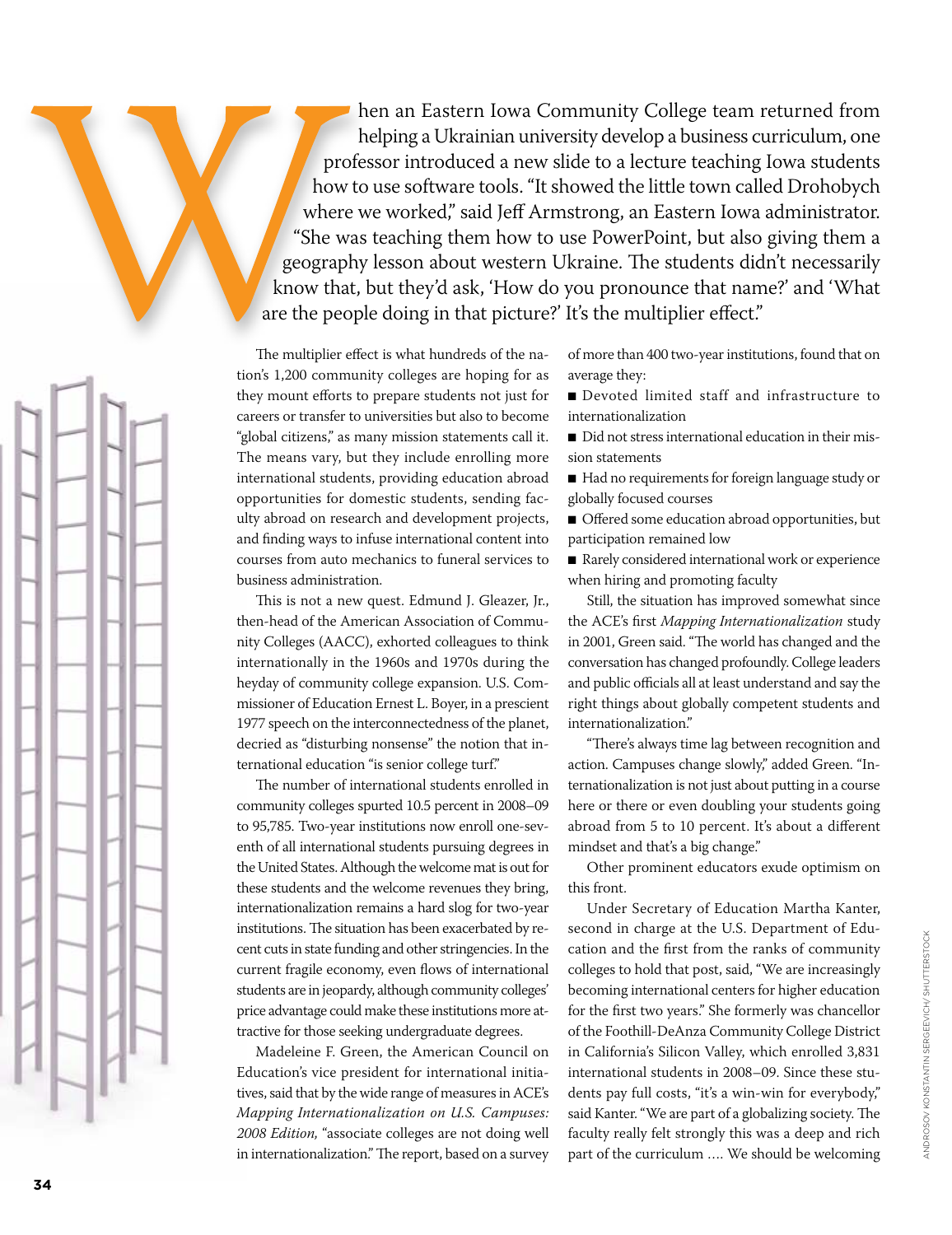hen an Eastern Iowa Community College team returned from helping a Ukrainian university develop a business curriculum, one professor introduced a new slide to a lecture teaching Iowa students how to use software tools. "It showed the little town called Drohobych where we worked," said Jeff Armstrong, an Eastern Iowa administrator. "She was teaching them how to use PowerPoint, but also giving them a geography lesson about western Ukraine. The students didn't necessarily know that, but they'd ask, 'How do you pronounce that name?' and 'What are the people doing in that picture?' It's the multiplier effect."

The multiplier effect is what hundreds of the nation's 1,200 community colleges are hoping for as they mount efforts to prepare students not just for careers or transfer to universities but also to become "global citizens," as many mission statements call it. The means vary, but they include enrolling more international students, providing education abroad opportunities for domestic students, sending faculty abroad on research and development projects, and finding ways to infuse international content into courses from auto mechanics to funeral services to business administration.

This is not a new quest. Edmund J. Gleazer, Jr., then-head of the American Association of Community Colleges (AACC), exhorted colleagues to think internationally in the 1960s and 1970s during the heyday of community college expansion. U.S. Commissioner of Education Ernest L. Boyer, in a prescient 1977 speech on the interconnectedness of the planet, decried as "disturbing nonsense" the notion that international education "is senior college turf."

The number of international students enrolled in community colleges spurted 10.5 percent in 2008–09 to 95,785. Two-year institutions now enroll one-seventh of all international students pursuing degrees in the United States. Although the welcome mat is out for these students and the welcome revenues they bring, internationalization remains a hard slog for two-year institutions. The situation has been exacerbated by recent cuts in state funding and other stringencies. In the current fragile economy, even flows of international students are in jeopardy, although community colleges' price advantage could make these institutions more attractive for those seeking undergraduate degrees.

Madeleine F. Green, the American Council on Education's vice president for international initiatives, said that by the wide range of measures in ACE's *Mapping Internationalization on U.S. Campuses: 2008 Edition,* "associate colleges are not doing well in internationalization." The report, based on a survey

of more than 400 two-year institutions, found that on average they:

- Devoted limited staff and infrastructure to internationalization
- Did not stress international education in their mission statements
- Had no requirements for foreign language study or globally focused courses
- Offered some education abroad opportunities, but participation remained low
- Rarely considered international work or experience when hiring and promoting faculty

Still, the situation has improved somewhat since the ACE's first *Mapping Internationalization* study in 2001, Green said. "The world has changed and the conversation has changed profoundly. College leaders and public officials all at least understand and say the right things about globally competent students and internationalization."

"There's always time lag between recognition and action. Campuses change slowly," added Green. "Internationalization is not just about putting in a course here or there or even doubling your students going abroad from 5 to 10 percent. It's about a different mindset and that's a big change."

Other prominent educators exude optimism on this front.

Under Secretary of Education Martha Kanter, second in charge at the U.S. Department of Education and the first from the ranks of community colleges to hold that post, said, "We are increasingly becoming international centers for higher education for the first two years." She formerly was chancellor of the Foothill-DeAnza Community College District in California's Silicon Valley, which enrolled 3,831 international students in 2008–09. Since these students pay full costs, "it's a win-win for everybody," said Kanter. "We are part of a globalizing society. The faculty really felt strongly this was a deep and rich part of the curriculum …. We should be welcoming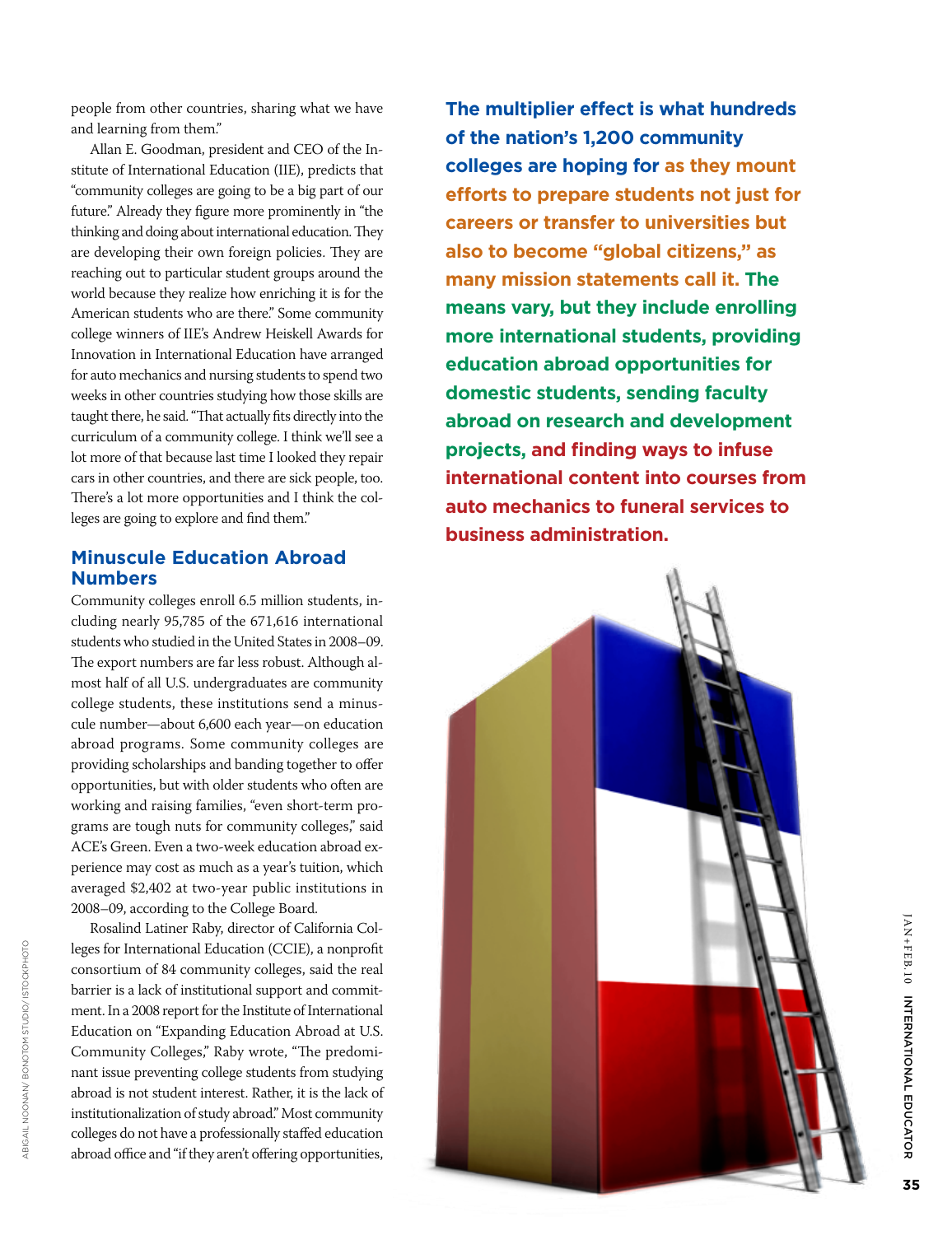people from other countries, sharing what we have and learning from them."

Allan E. Goodman, president and CEO of the In stitute of International Education (IIE), predicts that "community colleges are going to be a big part of our future." Already they figure more prominently in "the thinking and doing about international education. They are developing their own foreign policies. They are reaching out to particular student groups around the world because they realize how enriching it is for the American students who are there." Some community college winners of IIE's Andrew Heiskell Awards for Innovation in International Education have arranged for auto mechanics and nursing students to spend two weeks in other countries studying how those skills are taught there, he said. "That actually fits directly into the curriculum of a community college. I think we'll see a lot more of that because last time I looked they repair cars in other countries, and there are sick people, too. There's a lot more opportunities and I think the col leges are going to explore and find them."

# **Minuscule Education Abroad Numbers**

Community colleges enroll 6.5 million students, in cluding nearly 95,785 of the 671,616 international students who studied in the United States in 2008–09. The export numbers are far less robust. Although al most half of all U.S. undergraduates are community college students, these institutions send a minus cule number—about 6,600 each year—on education abroad programs. Some community colleges are providing scholarships and banding together to offer opportunities, but with older students who often are working and raising families, "even short-term pro grams are tough nuts for community colleges," said ACE's Green. Even a two-week education abroad ex perience may cost as much as a year's tuition, which averaged \$2,402 at two-year public institutions in 2008–09, according to the College Board.

Rosalind Latiner Raby, director of California Col leges for International Education (CCIE), a nonprofit consortium of 84 community colleges, said the real barrier is a lack of institutional support and commit ment. In a 2008 report for the Institute of International Education on "Expanding Education Abroad at U.S. Community Colleges," Raby wrote, "The predomi nant issue preventing college students from studying abroad is not student interest. Rather, it is the lack of institutionalization of study abroad." Most community colleges do not have a professionally staffed education abroad office and "if they aren't offering opportunities,

**The multiplier effect is what hundreds of the nation's 1,200 community colleges are hoping for as they mount efforts to prepare students not just for careers or transfer to universities but also to become "global citizens," as many mission statements call it. The means vary, but they include enrolling more international students, providing education abroad opportunities for domestic students, sending faculty abroad on research and development projects, and finding ways to infuse international content into courses from auto mechanics to funeral services to business administration.**



JAN+FE

B.10

INTERNATIONAL EDUCATOR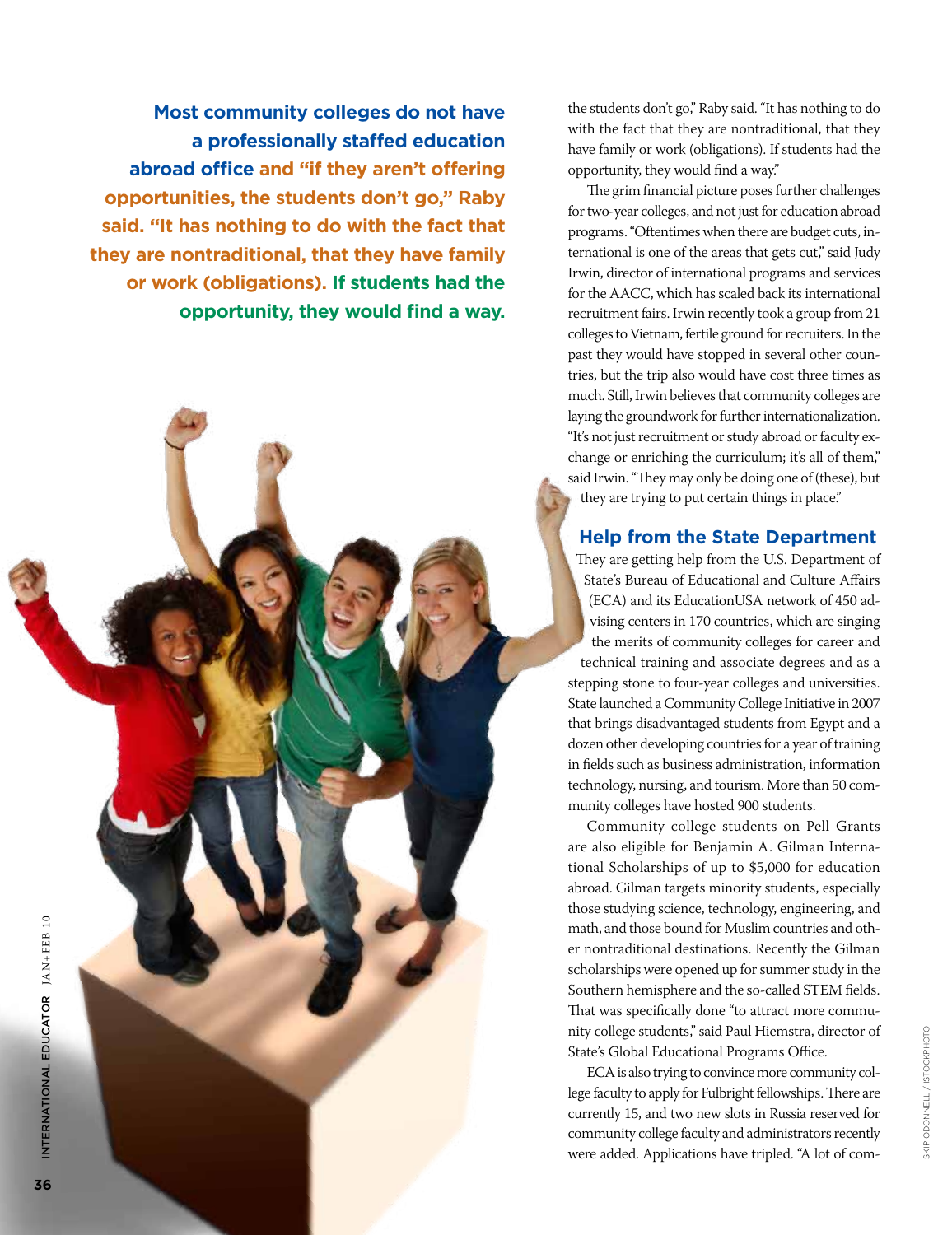**Most community colleges do not have a professionally staffed education abroad office and "if they aren't offering opportunities, the students don't go," Raby said. "It has nothing to do with the fact that they are nontraditional, that they have family or work (obligations). If students had the opportunity, they would find a way.** the students don't go," Raby said. "It has nothing to do with the fact that they are nontraditional, that they have family or work (obligations). If students had the opportunity, they would find a way."

The grim financial picture poses further challenges for two-year colleges, and not just for education abroad programs. "Oftentimes when there are budget cuts, international is one of the areas that gets cut," said Judy Irwin, director of international programs and services for the AACC, which has scaled back its international recruitment fairs. Irwin recently took a group from 21 colleges to Vietnam, fertile ground for recruiters. In the past they would have stopped in several other countries, but the trip also would have cost three times as much. Still, Irwin believes that community colleges are laying the groundwork for further internationalization. "It's not just recruitment or study abroad or faculty exchange or enriching the curriculum; it's all of them," said Irwin. "They may only be doing one of (these), but they are trying to put certain things in place."

## **Help from the State Department**

They are getting help from the U.S. Department of State's Bureau of Educational and Culture Affairs (ECA) and its EducationUSA network of 450 advising centers in 170 countries, which are singing the merits of community colleges for career and technical training and associate degrees and as a stepping stone to four-year colleges and universities. State launched a Community College Initiative in 2007 that brings disadvantaged students from Egypt and a dozen other developing countries for a year of training in fields such as business administration, information technology, nursing, and tourism. More than 50 community colleges have hosted 900 students.

Community college students on Pell Grants are also eligible for Benjamin A. Gilman International Scholarships of up to \$5,000 for education abroad. Gilman targets minority students, especially those studying science, technology, engineering, and math, and those bound for Muslim countries and other nontraditional destinations. Recently the Gilman scholarships were opened up for summer study in the Southern hemisphere and the so-called STEM fields. That was specifically done "to attract more community college students," said Paul Hiemstra, director of State's Global Educational Programs Office.

ECA is also trying to convince more community college faculty to apply for Fulbright fellowships. There are currently 15, and two new slots in Russia reserved for community college faculty and administrators recently were added. Applications have tripled. "A lot of comSkip ODonnell / istockphoto

SKIP ODONNELL / ISTOCKPHOTO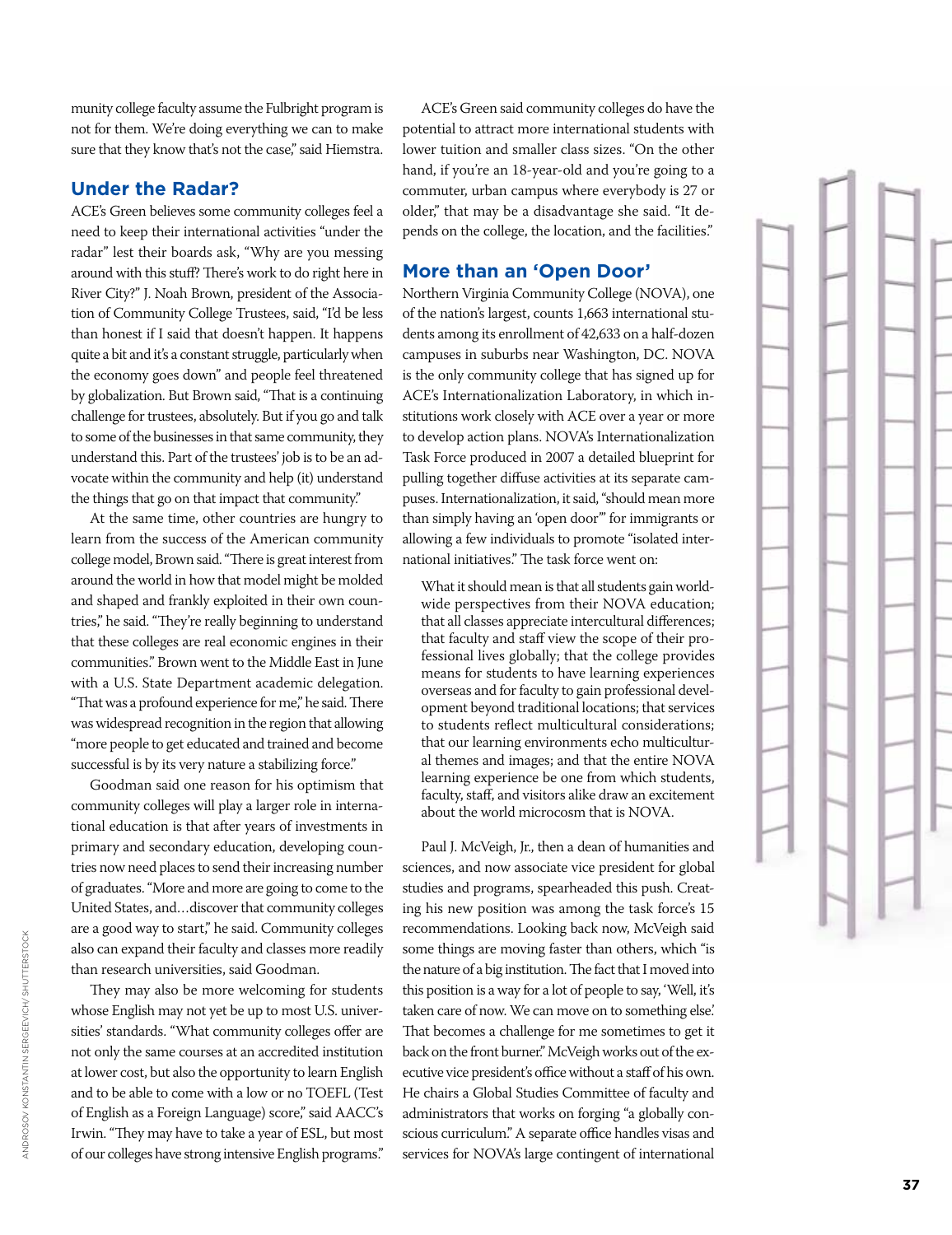munity college faculty assume the Fulbright program is not for them. We're doing everything we can to make sure that they know that's not the case," said Hiemstra.

#### **Under the Radar?**

ACE's Green believes some community colleges feel a need to keep their international activities "under the radar" lest their boards ask, "Why are you messing around with this stuff? There's work to do right here in River City?" J. Noah Brown, president of the Associa tion of Community College Trustees, said, "I'd be less than honest if I said that doesn't happen. It happens quite a bit and it's a constant struggle, particularly when the economy goes down" and people feel threatened by globalization. But Brown said, "That is a continuing challenge for trustees, absolutely. But if you go and talk to some of the businesses in that same community, they understand this. Part of the trustees' job is to be an ad vocate within the community and help (it) understand the things that go on that impact that community."

At the same time, other countries are hungry to learn from the success of the American community college model, Brown said. "There is great interest from around the world in how that model might be molded and shaped and frankly exploited in their own coun tries," he said. "They're really beginning to understand that these colleges are real economic engines in their communities." Brown went to the Middle East in June with a U.S. State Department academic delegation. "That was a profound experience for me," he said. There was widespread recognition in the region that allowing "more people to get educated and trained and become successful is by its very nature a stabilizing force."

Goodman said one reason for his optimism that community colleges will play a larger role in interna tional education is that after years of investments in primary and secondary education, developing coun tries now need places to send their increasing number of graduates. "More and more are going to come to the United States, and…discover that community colleges are a good way to start," he said. Community colleges also can expand their faculty and classes more readily than research universities, said Goodman.

They may also be more welcoming for students whose English may not yet be up to most U.S. univer sities' standards. "What community colleges offer are not only the same courses at an accredited institution at lower cost, but also the opportunity to learn English and to be able to come with a low or no TOEFL (Test of English as a Foreign Language) score," said AACC's Irwin. "They may have to take a year of ESL, but most of our colleges have strong intensive English programs."

ACE's Green said community colleges do have the potential to attract more international students with lower tuition and smaller class sizes. "On the other hand, if you're an 18-year-old and you're going to a commuter, urban campus where everybody is 27 or older," that may be a disadvantage she said. "It de pends on the college, the location, and the facilities."

#### **More than an ' Open Door'**

Northern Virginia Community College (NOVA), one of the nation's largest, counts 1,663 international stu dents among its enrollment of 42,633 on a half-dozen campuses in suburbs near Washington, DC. NOVA is the only community college that has signed up for ACE's Internationalization Laboratory, in which in stitutions work closely with ACE over a year or more to develop action plans. NOVA's Internationalization Task Force produced in 2007 a detailed blueprint for pulling together diffuse activities at its separate cam puses. Internationalization, it said, "should mean more than simply having an 'open door'" for immigrants or allowing a few individuals to promote "isolated inter national initiatives." The task force went on:

What it should mean is that all students gain world wide perspectives from their NOVA education; that all classes appreciate intercultural differences; that faculty and staff view the scope of their pro fessional lives globally; that the college provides means for students to have learning experiences overseas and for faculty to gain professional devel opment beyond traditional locations; that services to students reflect multicultural considerations; that our learning environments echo multicultur al themes and images; and that the entire NOVA learning experience be one from which students, faculty, staff, and visitors alike draw an excitement about the world microcosm that is NOVA.

Paul J. McVeigh, Jr., then a dean of humanities and sciences, and now associate vice president for global studies and programs, spearheaded this push. Creat ing his new position was among the task force's 15 recommendations. Looking back now, McVeigh said some things are moving faster than others, which "is the nature of a big institution. The fact that I moved into this position is a way for a lot of people to say, 'Well, it's taken care of now. We can move on to something else.' That becomes a challenge for me sometimes to get it back on the front burner." McVeigh works out of the ex ecutive vice president's office without a staff of his own. He chairs a Global Studies Committee of faculty and administrators that works on forging "a globally con scious curriculum." A separate office handles visas and services for NOVA's large contingent of international

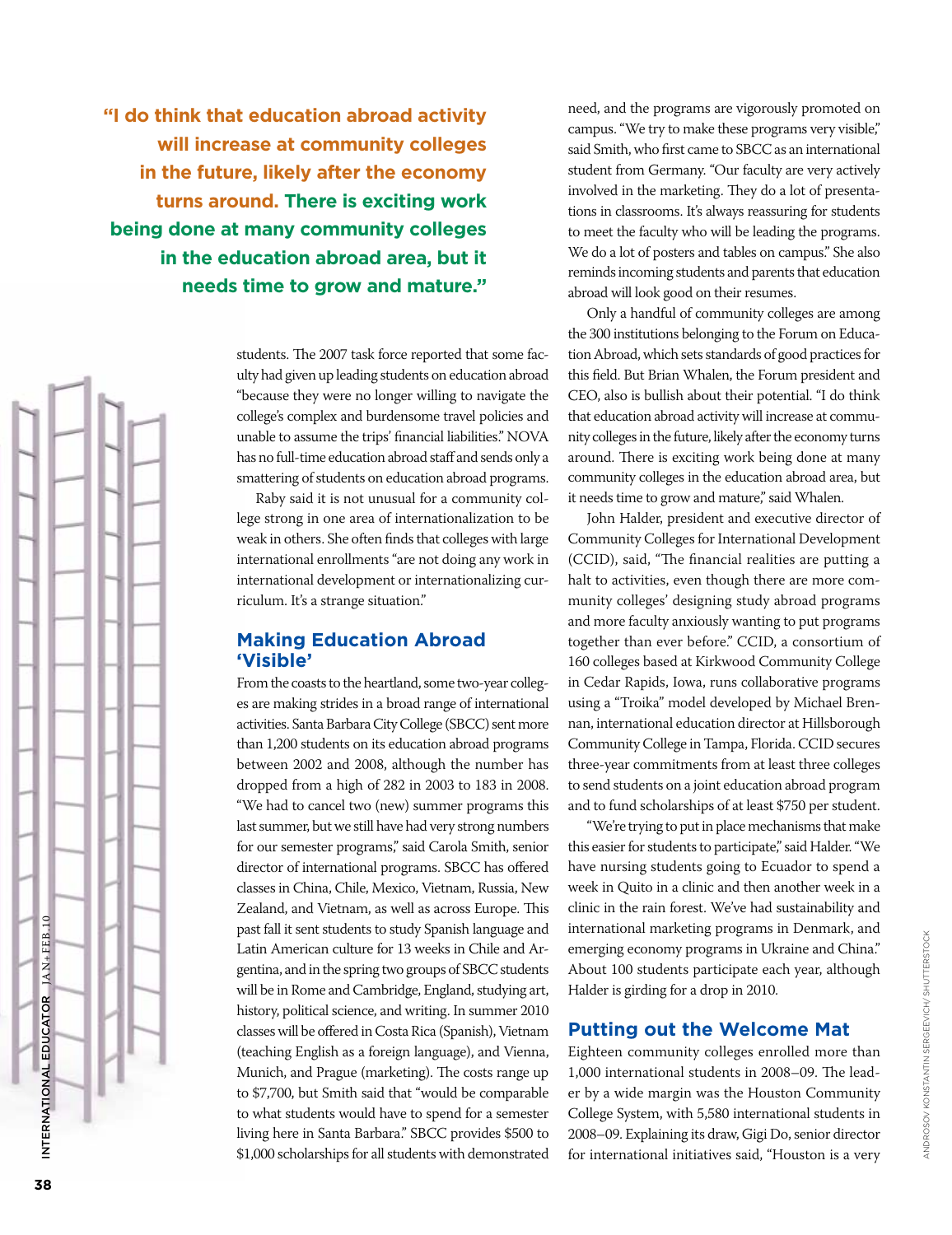**"I do think that education abroad activity will increase at community colleges in the future, likely after the economy turns around. There is exciting work being done at many community colleges in the education abroad area, but it needs time to grow and mature."**

> students. The 2007 task force reported that some faculty had given up leading students on education abroad "because they were no longer willing to navigate the college's complex and burdensome travel policies and unable to assume the trips' financial liabilities." NOVA has no full-time education abroad staff and sends only a smattering of students on education abroad programs.

> Raby said it is not unusual for a community college strong in one area of internationalization to be weak in others. She often finds that colleges with large international enrollments "are not doing any work in international development or internationalizing curriculum. It's a strange situation."

#### **Making Education Abroad 'Visible'**

From the coasts to the heartland, some two-year colleges are making strides in a broad range of international activities. Santa Barbara City College (SBCC) sent more than 1,200 students on its education abroad programs between 2002 and 2008, although the number has dropped from a high of 282 in 2003 to 183 in 2008. "We had to cancel two (new) summer programs this last summer, but we still have had very strong numbers for our semester programs," said Carola Smith, senior director of international programs. SBCC has offered classes in China, Chile, Mexico, Vietnam, Russia, New Zealand, and Vietnam, as well as across Europe. This past fall it sent students to study Spanish language and Latin American culture for 13 weeks in Chile and Argentina, and in the spring two groups of SBCC students will be in Rome and Cambridge, England, studying art, history, political science, and writing. In summer 2010 classes will be offered in Costa Rica (Spanish), Vietnam (teaching English as a foreign language), and Vienna, Munich, and Prague (marketing). The costs range up to \$7,700, but Smith said that "would be comparable to what students would have to spend for a semester living here in Santa Barbara." SBCC provides \$500 to \$1,000 scholarships for all students with demonstrated

need, and the programs are vigorously promoted on campus. "We try to make these programs very visible," said Smith, who first came to SBCC as an international student from Germany. "Our faculty are very actively involved in the marketing. They do a lot of presentations in classrooms. It's always reassuring for students to meet the faculty who will be leading the programs. We do a lot of posters and tables on campus." She also reminds incoming students and parents that education abroad will look good on their resumes.

Only a handful of community colleges are among the 300 institutions belonging to the Forum on Education Abroad, which sets standards of good practices for this field. But Brian Whalen, the Forum president and CEO, also is bullish about their potential. "I do think that education abroad activity will increase at community colleges in the future, likely after the economy turns around. There is exciting work being done at many community colleges in the education abroad area, but it needs time to grow and mature," said Whalen.

John Halder, president and executive director of Community Colleges for International Development (CCID), said, "The financial realities are putting a halt to activities, even though there are more community colleges' designing study abroad programs and more faculty anxiously wanting to put programs together than ever before." CCID, a consortium of 160 colleges based at Kirkwood Community College in Cedar Rapids, Iowa, runs collaborative programs using a "Troika" model developed by Michael Brennan, international education director at Hillsborough Community College in Tampa, Florida. CCID secures three-year commitments from at least three colleges to send students on a joint education abroad program and to fund scholarships of at least \$750 per student.

"We're trying to put in place mechanisms that make this easier for students to participate," said Halder. "We have nursing students going to Ecuador to spend a week in Quito in a clinic and then another week in a clinic in the rain forest. We've had sustainability and international marketing programs in Denmark, and emerging economy programs in Ukraine and China." About 100 students participate each year, although Halder is girding for a drop in 2010.

## **Putting out the Welcome Mat**

Eighteen community colleges enrolled more than 1,000 international students in 2008–09. The leader by a wide margin was the Houston Community College System, with 5,580 international students in 2008–09. Explaining its draw, Gigi Do, senior director for international initiatives said, "Houston is a very

International Educ

INTERNATIONAL EDUCATOR JAN+FEB.10

ATOR  $JAX+FEB.10$